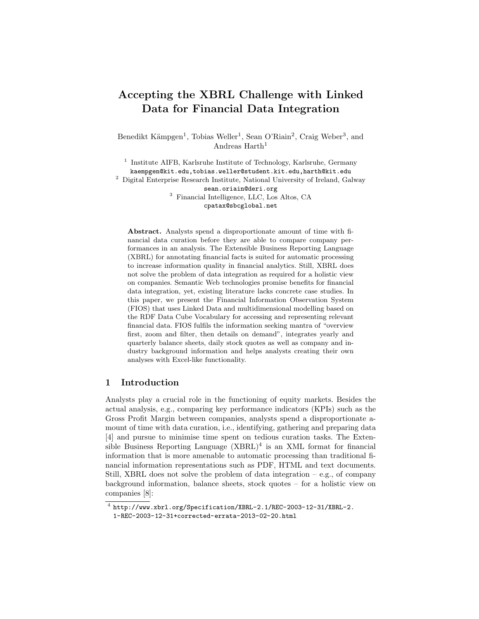# Accepting the XBRL Challenge with Linked Data for Financial Data Integration

Benedikt Kämpgen<sup>1</sup>, Tobias Weller<sup>1</sup>, Sean O'Riain<sup>2</sup>, Craig Weber<sup>3</sup>, and Andreas  $Harth<sup>1</sup>$ 

<sup>1</sup> Institute AIFB, Karlsruhe Institute of Technology, Karlsruhe, Germany kaempgen@kit.edu,tobias.weller@student.kit.edu,harth@kit.edu <sup>2</sup> Digital Enterprise Research Institute, National University of Ireland, Galway sean.oriain@deri.org <sup>3</sup> Financial Intelligence, LLC, Los Altos, CA cpatax@sbcglobal.net

Abstract. Analysts spend a disproportionate amount of time with financial data curation before they are able to compare company performances in an analysis. The Extensible Business Reporting Language (XBRL) for annotating financial facts is suited for automatic processing to increase information quality in financial analytics. Still, XBRL does not solve the problem of data integration as required for a holistic view on companies. Semantic Web technologies promise benefits for financial data integration, yet, existing literature lacks concrete case studies. In this paper, we present the Financial Information Observation System (FIOS) that uses Linked Data and multidimensional modelling based on the RDF Data Cube Vocabulary for accessing and representing relevant financial data. FIOS fulfils the information seeking mantra of "overview first, zoom and filter, then details on demand", integrates yearly and quarterly balance sheets, daily stock quotes as well as company and industry background information and helps analysts creating their own analyses with Excel-like functionality.

# 1 Introduction

Analysts play a crucial role in the functioning of equity markets. Besides the actual analysis, e.g., comparing key performance indicators (KPIs) such as the Gross Profit Margin between companies, analysts spend a disproportionate amount of time with data curation, i.e., identifying, gathering and preparing data [4] and pursue to minimise time spent on tedious curation tasks. The Extensible Business Reporting Language  $(XBRL)^4$  is an XML format for financial information that is more amenable to automatic processing than traditional financial information representations such as PDF, HTML and text documents. Still, XBRL does not solve the problem of data integration  $-e.g.,$  of company background information, balance sheets, stock quotes – for a holistic view on companies [8]:

<sup>4</sup> http://www.xbrl.org/Specification/XBRL-2.1/REC-2003-12-31/XBRL-2.

<sup>1-</sup>REC-2003-12-31+corrected-errata-2013-02-20.html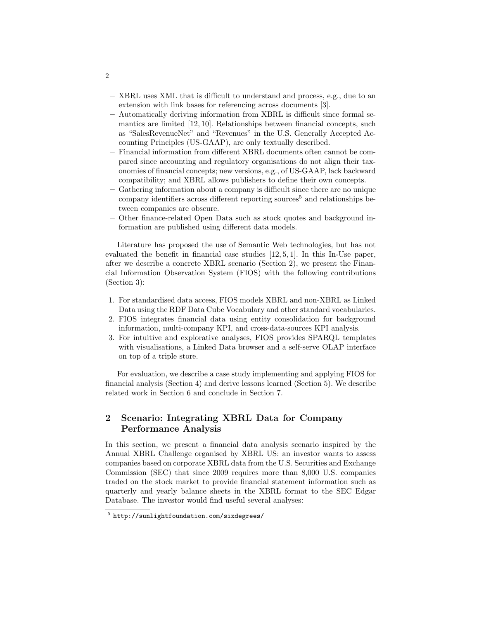- XBRL uses XML that is difficult to understand and process, e.g., due to an extension with link bases for referencing across documents [3].
- Automatically deriving information from XBRL is difficult since formal semantics are limited [12, 10]. Relationships between financial concepts, such as "SalesRevenueNet" and "Revenues" in the U.S. Generally Accepted Accounting Principles (US-GAAP), are only textually described.
- Financial information from different XBRL documents often cannot be compared since accounting and regulatory organisations do not align their taxonomies of financial concepts; new versions, e.g., of US-GAAP, lack backward compatibility; and XBRL allows publishers to define their own concepts.
- Gathering information about a company is difficult since there are no unique company identifiers across different reporting sources<sup>5</sup> and relationships between companies are obscure.
- Other finance-related Open Data such as stock quotes and background information are published using different data models.

Literature has proposed the use of Semantic Web technologies, but has not evaluated the benefit in financial case studies [12, 5, 1]. In this In-Use paper, after we describe a concrete XBRL scenario (Section 2), we present the Financial Information Observation System (FIOS) with the following contributions (Section 3):

- 1. For standardised data access, FIOS models XBRL and non-XBRL as Linked Data using the RDF Data Cube Vocabulary and other standard vocabularies.
- 2. FIOS integrates financial data using entity consolidation for background information, multi-company KPI, and cross-data-sources KPI analysis.
- 3. For intuitive and explorative analyses, FIOS provides SPARQL templates with visualisations, a Linked Data browser and a self-serve OLAP interface on top of a triple store.

For evaluation, we describe a case study implementing and applying FIOS for financial analysis (Section 4) and derive lessons learned (Section 5). We describe related work in Section 6 and conclude in Section 7.

# 2 Scenario: Integrating XBRL Data for Company Performance Analysis

In this section, we present a financial data analysis scenario inspired by the Annual XBRL Challenge organised by XBRL US: an investor wants to assess companies based on corporate XBRL data from the U.S. Securities and Exchange Commission (SEC) that since 2009 requires more than 8,000 U.S. companies traded on the stock market to provide financial statement information such as quarterly and yearly balance sheets in the XBRL format to the SEC Edgar Database. The investor would find useful several analyses:

<sup>5</sup> http://sunlightfoundation.com/sixdegrees/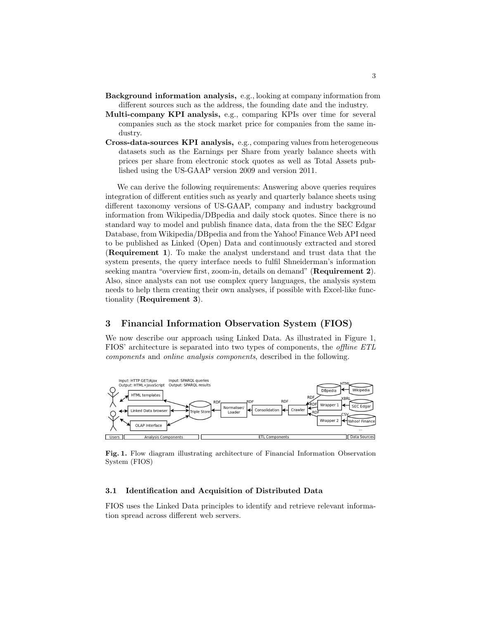- Background information analysis, e.g., looking at company information from different sources such as the address, the founding date and the industry.
- Multi-company KPI analysis, e.g., comparing KPIs over time for several companies such as the stock market price for companies from the same industry.
- Cross-data-sources KPI analysis, e.g., comparing values from heterogeneous datasets such as the Earnings per Share from yearly balance sheets with prices per share from electronic stock quotes as well as Total Assets published using the US-GAAP version 2009 and version 2011.

We can derive the following requirements: Answering above queries requires integration of different entities such as yearly and quarterly balance sheets using different taxonomy versions of US-GAAP, company and industry background information from Wikipedia/DBpedia and daily stock quotes. Since there is no standard way to model and publish finance data, data from the the SEC Edgar Database, from Wikipedia/DBpedia and from the Yahoo! Finance Web API need to be published as Linked (Open) Data and continuously extracted and stored (Requirement 1). To make the analyst understand and trust data that the system presents, the query interface needs to fulfil Shneiderman's information seeking mantra "overview first, zoom-in, details on demand" (Requirement 2). Also, since analysts can not use complex query languages, the analysis system needs to help them creating their own analyses, if possible with Excel-like functionality (Requirement 3).

# 3 Financial Information Observation System (FIOS)

We now describe our approach using Linked Data. As illustrated in Figure 1, FIOS' architecture is separated into two types of components, the offline ETL components and online analysis components, described in the following.



Fig. 1. Flow diagram illustrating architecture of Financial Information Observation System (FIOS)

#### 3.1 Identification and Acquisition of Distributed Data

FIOS uses the Linked Data principles to identify and retrieve relevant information spread across different web servers.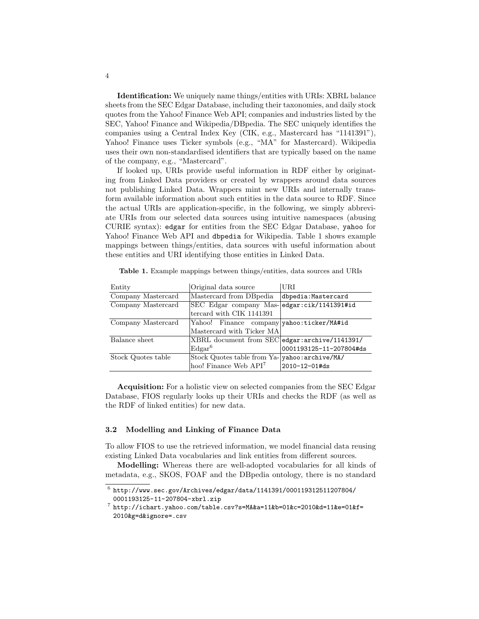Identification: We uniquely name things/entities with URIs: XBRL balance sheets from the SEC Edgar Database, including their taxonomies, and daily stock quotes from the Yahoo! Finance Web API; companies and industries listed by the SEC, Yahoo! Finance and Wikipedia/DBpedia. The SEC uniquely identifies the companies using a Central Index Key (CIK, e.g., Mastercard has "1141391"), Yahoo! Finance uses Ticker symbols (e.g., "MA" for Mastercard). Wikipedia uses their own non-standardised identifiers that are typically based on the name of the company, e.g., "Mastercard".

If looked up, URIs provide useful information in RDF either by originating from Linked Data providers or created by wrappers around data sources not publishing Linked Data. Wrappers mint new URIs and internally transform available information about such entities in the data source to RDF. Since the actual URIs are application-specific, in the following, we simply abbreviate URIs from our selected data sources using intuitive namespaces (abusing CURIE syntax): edgar for entities from the SEC Edgar Database, yahoo for Yahoo! Finance Web API and dbpedia for Wikipedia. Table 1 shows example mappings between things/entities, data sources with useful information about these entities and URI identifying those entities in Linked Data.

| Entity             | Original data source                           | URI                     |  |
|--------------------|------------------------------------------------|-------------------------|--|
| Company Mastercard | Mastercard from DB pedia                       | dbpedia: Mastercard     |  |
| Company Mastercard | SEC Edgar company Mas-edgar:cik/1141391#id     |                         |  |
|                    | tercard with CIK 1141391                       |                         |  |
| Company Mastercard | Yahoo! Finance company vahoo:ticker/MA#id      |                         |  |
|                    | Mastercard with Ticker MA                      |                         |  |
| Balance sheet      | XBRL document from SEC edgar: archive/1141391/ |                         |  |
|                    | Edgar <sup>6</sup>                             | 0001193125-11-207804#ds |  |
| Stock Quotes table | Stock Quotes table from Ya- yahoo: archive/MA/ |                         |  |
|                    | hoo! Finance Web API <sup>7</sup>              | 2010-12-01#ds           |  |

Table 1. Example mappings between things/entities, data sources and URIs

Acquisition: For a holistic view on selected companies from the SEC Edgar Database, FIOS regularly looks up their URIs and checks the RDF (as well as the RDF of linked entities) for new data.

#### 3.2 Modelling and Linking of Finance Data

To allow FIOS to use the retrieved information, we model financial data reusing existing Linked Data vocabularies and link entities from different sources.

Modelling: Whereas there are well-adopted vocabularies for all kinds of metadata, e.g., SKOS, FOAF and the DBpedia ontology, there is no standard

 $^6$  http://www.sec.gov/Archives/edgar/data/1141391/000119312511207804/

<sup>0001193125-11-207804-</sup>xbrl.zip

 $\frac{7}{1}$  http://ichart.yahoo.com/table.csv?s=MA&a=11&b=01&c=2010&d=11&e=01&f= 2010&g=d&ignore=.csv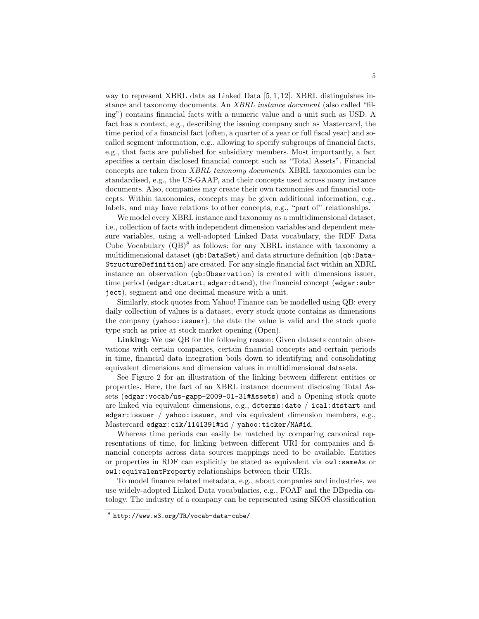way to represent XBRL data as Linked Data  $[5, 1, 12]$ . XBRL distinguishes instance and taxonomy documents. An XBRL instance document (also called "filing") contains financial facts with a numeric value and a unit such as USD. A fact has a context, e.g., describing the issuing company such as Mastercard, the time period of a financial fact (often, a quarter of a year or full fiscal year) and socalled segment information, e.g., allowing to specify subgroups of financial facts, e.g., that facts are published for subsidiary members. Most importantly, a fact specifies a certain disclosed financial concept such as "Total Assets". Financial concepts are taken from XBRL taxonomy documents. XBRL taxonomies can be standardised, e.g., the US-GAAP, and their concepts used across many instance documents. Also, companies may create their own taxonomies and financial concepts. Within taxonomies, concepts may be given additional information, e.g., labels, and may have relations to other concepts, e.g., "part of" relationships.

We model every XBRL instance and taxonomy as a multidimensional dataset, i.e., collection of facts with independent dimension variables and dependent measure variables, using a well-adopted Linked Data vocabulary, the RDF Data Cube Vocabulary  $(QB)^8$  as follows: for any XBRL instance with taxonomy a multidimensional dataset (qb:DataSet) and data structure definition (qb:Data-StructureDefinition) are created. For any single financial fact within an XBRL instance an observation (qb:Observation) is created with dimensions issuer, time period (edgar:dtstart, edgar:dtend), the financial concept (edgar:subject), segment and one decimal measure with a unit.

Similarly, stock quotes from Yahoo! Finance can be modelled using QB: every daily collection of values is a dataset, every stock quote contains as dimensions the company (yahoo:issuer), the date the value is valid and the stock quote type such as price at stock market opening (Open).

Linking: We use QB for the following reason: Given datasets contain observations with certain companies, certain financial concepts and certain periods in time, financial data integration boils down to identifying and consolidating equivalent dimensions and dimension values in multidimensional datasets.

See Figure 2 for an illustration of the linking between different entities or properties. Here, the fact of an XBRL instance document disclosing Total Assets (edgar:vocab/us-gapp-2009-01-31#Assets) and a Opening stock quote are linked via equivalent dimensions, e.g., dcterms:date / ical:dtstart and edgar: issuer / yahoo: issuer, and via equivalent dimension members, e.g., Mastercard edgar:cik/1141391#id / yahoo:ticker/MA#id.

Whereas time periods can easily be matched by comparing canonical representations of time, for linking between different URI for companies and financial concepts across data sources mappings need to be available. Entities or properties in RDF can explicitly be stated as equivalent via owl:sameAs or owl:equivalentProperty relationships between their URIs.

To model finance related metadata, e.g., about companies and industries, we use widely-adopted Linked Data vocabularies, e.g., FOAF and the DBpedia ontology. The industry of a company can be represented using SKOS classification

 $^8$  http://www.w3.org/TR/vocab-data-cube/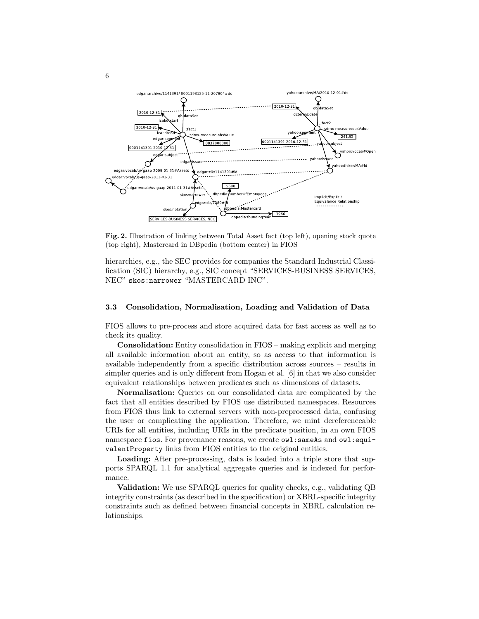

Fig. 2. Illustration of linking between Total Asset fact (top left), opening stock quote (top right), Mastercard in DBpedia (bottom center) in FIOS

hierarchies, e.g., the SEC provides for companies the Standard Industrial Classification (SIC) hierarchy, e.g., SIC concept "SERVICES-BUSINESS SERVICES, NEC" skos:narrower "MASTERCARD INC".

#### 3.3 Consolidation, Normalisation, Loading and Validation of Data

FIOS allows to pre-process and store acquired data for fast access as well as to check its quality.

Consolidation: Entity consolidation in FIOS – making explicit and merging all available information about an entity, so as access to that information is available independently from a specific distribution across sources – results in simpler queries and is only different from Hogan et al. [6] in that we also consider equivalent relationships between predicates such as dimensions of datasets.

Normalisation: Queries on our consolidated data are complicated by the fact that all entities described by FIOS use distributed namespaces. Resources from FIOS thus link to external servers with non-preprocessed data, confusing the user or complicating the application. Therefore, we mint dereferenceable URIs for all entities, including URIs in the predicate position, in an own FIOS namespace fios. For provenance reasons, we create owl:sameAs and owl:equivalentProperty links from FIOS entities to the original entities.

Loading: After pre-processing, data is loaded into a triple store that supports SPARQL 1.1 for analytical aggregate queries and is indexed for performance.

Validation: We use SPARQL queries for quality checks, e.g., validating QB integrity constraints (as described in the specification) or XBRL-specific integrity constraints such as defined between financial concepts in XBRL calculation relationships.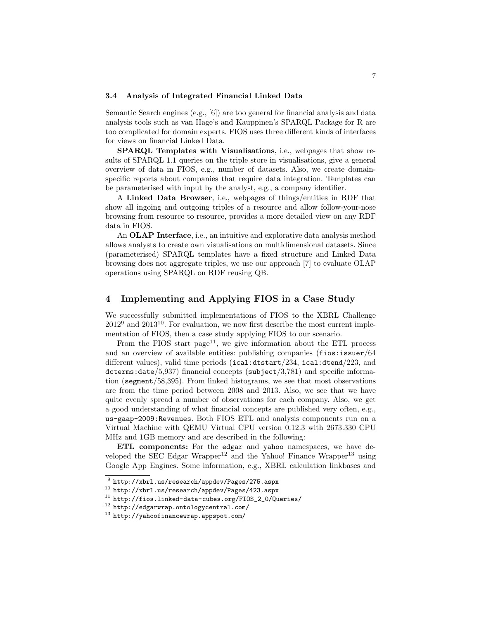#### 3.4 Analysis of Integrated Financial Linked Data

Semantic Search engines (e.g., [6]) are too general for financial analysis and data analysis tools such as van Hage's and Kauppinen's SPARQL Package for R are too complicated for domain experts. FIOS uses three different kinds of interfaces for views on financial Linked Data.

SPARQL Templates with Visualisations, i.e., webpages that show results of SPARQL 1.1 queries on the triple store in visualisations, give a general overview of data in FIOS, e.g., number of datasets. Also, we create domainspecific reports about companies that require data integration. Templates can be parameterised with input by the analyst, e.g., a company identifier.

A Linked Data Browser, i.e., webpages of things/entities in RDF that show all ingoing and outgoing triples of a resource and allow follow-your-nose browsing from resource to resource, provides a more detailed view on any RDF data in FIOS.

An OLAP Interface, i.e., an intuitive and explorative data analysis method allows analysts to create own visualisations on multidimensional datasets. Since (parameterised) SPARQL templates have a fixed structure and Linked Data browsing does not aggregate triples, we use our approach [7] to evaluate OLAP operations using SPARQL on RDF reusing QB.

# 4 Implementing and Applying FIOS in a Case Study

We successfully submitted implementations of FIOS to the XBRL Challenge  $2012<sup>9</sup>$  and  $2013<sup>10</sup>$ . For evaluation, we now first describe the most current implementation of FIOS, then a case study applying FIOS to our scenario.

From the FIOS start page<sup>11</sup>, we give information about the ETL process and an overview of available entities: publishing companies (fios:issuer/64 different values), valid time periods (ical:dtstart/234, ical:dtend/223, and dcterms:date/5,937) financial concepts (subject/3,781) and specific information (segment/58,395). From linked histograms, we see that most observations are from the time period between 2008 and 2013. Also, we see that we have quite evenly spread a number of observations for each company. Also, we get a good understanding of what financial concepts are published very often, e.g., us-gaap-2009:Revenues. Both FIOS ETL and analysis components run on a Virtual Machine with QEMU Virtual CPU version 0.12.3 with 2673.330 CPU MHz and 1GB memory and are described in the following:

ETL components: For the edgar and yahoo namespaces, we have developed the SEC Edgar Wrapper<sup>12</sup> and the Yahoo! Finance Wrapper<sup>13</sup> using Google App Engines. Some information, e.g., XBRL calculation linkbases and

 $^9$  http://xbrl.us/research/appdev/Pages/275.aspx

<sup>10</sup> http://xbrl.us/research/appdev/Pages/423.aspx

<sup>11</sup> http://fios.linked-data-cubes.org/FIOS\_2\_0/Queries/

<sup>12</sup> http://edgarwrap.ontologycentral.com/

<sup>13</sup> http://yahoofinancewrap.appspot.com/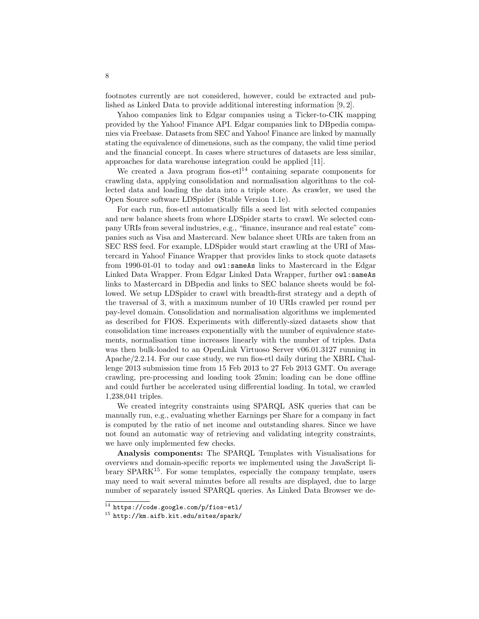footnotes currently are not considered, however, could be extracted and published as Linked Data to provide additional interesting information [9, 2].

Yahoo companies link to Edgar companies using a Ticker-to-CIK mapping provided by the Yahoo! Finance API. Edgar companies link to DBpedia companies via Freebase. Datasets from SEC and Yahoo! Finance are linked by manually stating the equivalence of dimensions, such as the company, the valid time period and the financial concept. In cases where structures of datasets are less similar, approaches for data warehouse integration could be applied [11].

We created a Java program fios-et<sup> $14$ </sup> containing separate components for crawling data, applying consolidation and normalisation algorithms to the collected data and loading the data into a triple store. As crawler, we used the Open Source software LDSpider (Stable Version 1.1e).

For each run, fios-etl automatically fills a seed list with selected companies and new balance sheets from where LDSpider starts to crawl. We selected company URIs from several industries, e.g., "finance, insurance and real estate" companies such as Visa and Mastercard. New balance sheet URIs are taken from an SEC RSS feed. For example, LDSpider would start crawling at the URI of Mastercard in Yahoo! Finance Wrapper that provides links to stock quote datasets from 1990-01-01 to today and owl:sameAs links to Mastercard in the Edgar Linked Data Wrapper. From Edgar Linked Data Wrapper, further owl:sameAs links to Mastercard in DBpedia and links to SEC balance sheets would be followed. We setup LDSpider to crawl with breadth-first strategy and a depth of the traversal of 3, with a maximum number of 10 URIs crawled per round per pay-level domain. Consolidation and normalisation algorithms we implemented as described for FIOS. Experiments with differently-sized datasets show that consolidation time increases exponentially with the number of equivalence statements, normalisation time increases linearly with the number of triples. Data was then bulk-loaded to an OpenLink Virtuoso Server v06.01.3127 running in Apache/2.2.14. For our case study, we run fios-etl daily during the XBRL Challenge 2013 submission time from 15 Feb 2013 to 27 Feb 2013 GMT. On average crawling, pre-processing and loading took 25min; loading can be done offline and could further be accelerated using differential loading. In total, we crawled 1,238,041 triples.

We created integrity constraints using SPARQL ASK queries that can be manually run, e.g., evaluating whether Earnings per Share for a company in fact is computed by the ratio of net income and outstanding shares. Since we have not found an automatic way of retrieving and validating integrity constraints, we have only implemented few checks.

Analysis components: The SPARQL Templates with Visualisations for overviews and domain-specific reports we implemented using the JavaScript library  $SPARK^{15}$ . For some templates, especially the company template, users may need to wait several minutes before all results are displayed, due to large number of separately issued SPARQL queries. As Linked Data Browser we de-

 $^{14}$  https://code.google.com/p/fios-etl/

<sup>15</sup> http://km.aifb.kit.edu/sites/spark/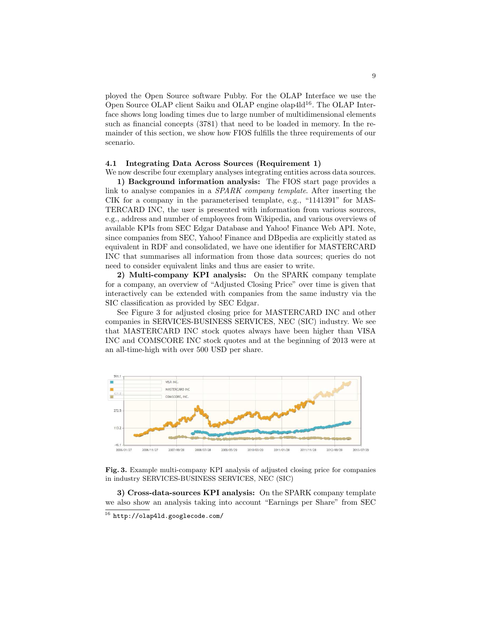ployed the Open Source software Pubby. For the OLAP Interface we use the Open Source OLAP client Saiku and OLAP engine olap4ld<sup>16</sup>. The OLAP Interface shows long loading times due to large number of multidimensional elements such as financial concepts (3781) that need to be loaded in memory. In the remainder of this section, we show how FIOS fulfills the three requirements of our scenario.

# 4.1 Integrating Data Across Sources (Requirement 1)

We now describe four exemplary analyses integrating entities across data sources. 1) Background information analysis: The FIOS start page provides a link to analyse companies in a *SPARK company template*. After inserting the CIK for a company in the parameterised template, e.g., "1141391" for MAS-TERCARD INC, the user is presented with information from various sources, e.g., address and number of employees from Wikipedia, and various overviews of available KPIs from SEC Edgar Database and Yahoo! Finance Web API. Note, since companies from SEC, Yahoo! Finance and DBpedia are explicitly stated as equivalent in RDF and consolidated, we have one identifier for MASTERCARD INC that summarises all information from those data sources; queries do not need to consider equivalent links and thus are easier to write.

2) Multi-company KPI analysis: On the SPARK company template for a company, an overview of "Adjusted Closing Price" over time is given that interactively can be extended with companies from the same industry via the SIC classification as provided by SEC Edgar.

See Figure 3 for adjusted closing price for MASTERCARD INC and other companies in SERVICES-BUSINESS SERVICES, NEC (SIC) industry. We see that MASTERCARD INC stock quotes always have been higher than VISA INC and COMSCORE INC stock quotes and at the beginning of 2013 were at an all-time-high with over 500 USD per share.



Fig. 3. Example multi-company KPI analysis of adjusted closing price for companies in industry SERVICES-BUSINESS SERVICES, NEC (SIC)

3) Cross-data-sources KPI analysis: On the SPARK company template we also show an analysis taking into account "Earnings per Share" from SEC

 $\frac{16}{16}$  http://olap41d.googlecode.com/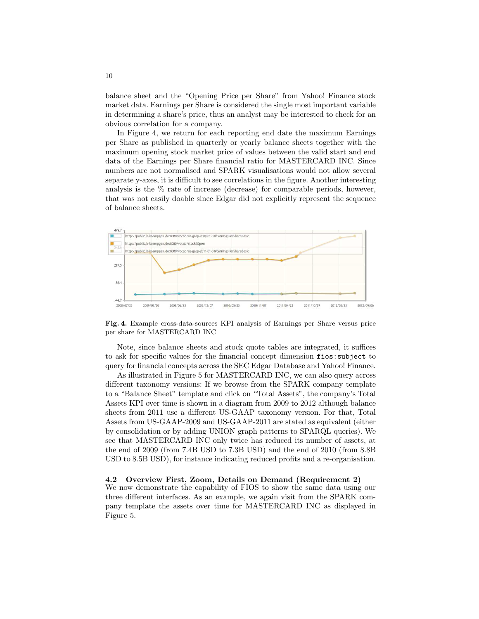balance sheet and the "Opening Price per Share" from Yahoo! Finance stock market data. Earnings per Share is considered the single most important variable in determining a share's price, thus an analyst may be interested to check for an obvious correlation for a company.

In Figure 4, we return for each reporting end date the maximum Earnings per Share as published in quarterly or yearly balance sheets together with the maximum opening stock market price of values between the valid start and end data of the Earnings per Share financial ratio for MASTERCARD INC. Since numbers are not normalised and SPARK visualisations would not allow several separate y-axes, it is difficult to see correlations in the figure. Another interesting analysis is the % rate of increase (decrease) for comparable periods, however, that was not easily doable since Edgar did not explicitly represent the sequence of balance sheets.





Note, since balance sheets and stock quote tables are integrated, it suffices to ask for specific values for the financial concept dimension fios:subject to query for financial concepts across the SEC Edgar Database and Yahoo! Finance.

As illustrated in Figure 5 for MASTERCARD INC, we can also query across different taxonomy versions: If we browse from the SPARK company template to a "Balance Sheet" template and click on "Total Assets", the company's Total Assets KPI over time is shown in a diagram from 2009 to 2012 although balance sheets from 2011 use a different US-GAAP taxonomy version. For that, Total Assets from US-GAAP-2009 and US-GAAP-2011 are stated as equivalent (either by consolidation or by adding UNION graph patterns to SPARQL queries). We see that MASTERCARD INC only twice has reduced its number of assets, at the end of 2009 (from 7.4B USD to 7.3B USD) and the end of 2010 (from 8.8B USD to 8.5B USD), for instance indicating reduced profits and a re-organisation.

4.2 Overview First, Zoom, Details on Demand (Requirement 2)

We now demonstrate the capability of FIOS to show the same data using our three different interfaces. As an example, we again visit from the SPARK company template the assets over time for MASTERCARD INC as displayed in Figure 5.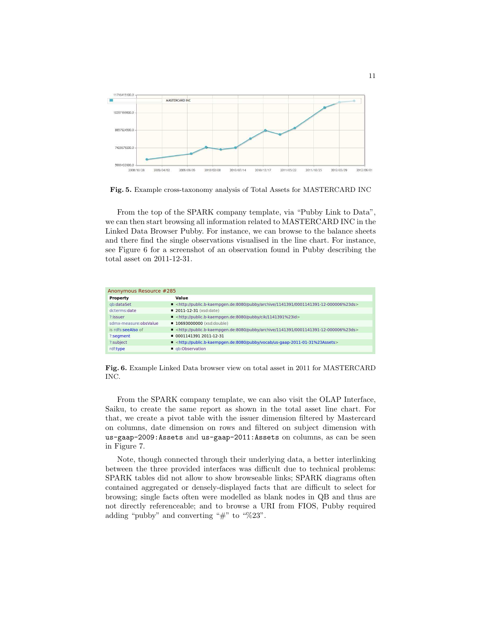

Fig. 5. Example cross-taxonomy analysis of Total Assets for MASTERCARD INC

From the top of the SPARK company template, via "Pubby Link to Data", we can then start browsing all information related to MASTERCARD INC in the Linked Data Browser Pubby. For instance, we can browse to the balance sheets and there find the single observations visualised in the line chart. For instance, see Figure 6 for a screenshot of an observation found in Pubby describing the total asset on 2011-12-31.

| Anonymous Resource #285 |                                                                                                                         |  |  |  |  |
|-------------------------|-------------------------------------------------------------------------------------------------------------------------|--|--|--|--|
| <b>Property</b>         | <b>Value</b>                                                                                                            |  |  |  |  |
| qb:dataSet              | $\blacksquare$ <http: 0001141391-12-000006%23ds="" 1141391="" archive="" pubby="" public.b-kaempgen.de:8080=""></http:> |  |  |  |  |
| dcterms:date            | 2011-12-31 (xsd:date)                                                                                                   |  |  |  |  |
| ?:issuer                | ■ <http: 1141391%23id="" cik="" pubby="" public.b-kaempgen.de:8080=""></http:>                                          |  |  |  |  |
| sdmx-measure:obsValue   | 10693000000 (xsd:double)                                                                                                |  |  |  |  |
| is rdfs:seeAlso of      | $\blacksquare$ <http: 0001141391-12-000006%23ds="" 1141391="" archive="" pubby="" public.b-kaempgen.de:8080=""></http:> |  |  |  |  |
| ?:segment               | $= 00011413912011-12-31$                                                                                                |  |  |  |  |
| ?:subject               | Attp://public.b-kaempgen.de:8080/pubby/vocab/us-gaap-2011-01-31%23Assets>                                               |  |  |  |  |
| rdf:type                | ob:Observation                                                                                                          |  |  |  |  |

Fig. 6. Example Linked Data browser view on total asset in 2011 for MASTERCARD INC.

From the SPARK company template, we can also visit the OLAP Interface, Saiku, to create the same report as shown in the total asset line chart. For that, we create a pivot table with the issuer dimension filtered by Mastercard on columns, date dimension on rows and filtered on subject dimension with us-gaap-2009:Assets and us-gaap-2011:Assets on columns, as can be seen in Figure 7.

Note, though connected through their underlying data, a better interlinking between the three provided interfaces was difficult due to technical problems: SPARK tables did not allow to show browseable links; SPARK diagrams often contained aggregated or densely-displayed facts that are difficult to select for browsing; single facts often were modelled as blank nodes in QB and thus are not directly referenceable; and to browse a URI from FIOS, Pubby required adding "pubby" and converting " $\#$ " to "%23".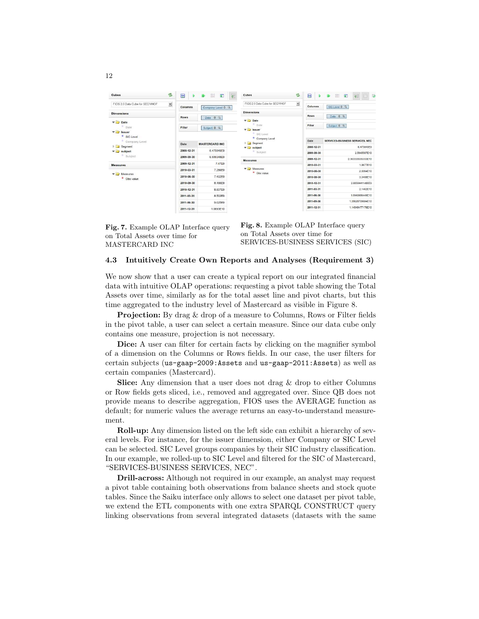| €<br><b>Cubes</b>                                  | 圕           | 鼺<br>RT <sub>1</sub><br>$\overline{r}$ | S<br>Cubes                                           | 圕                   | $\overline{\bullet}$<br>疆<br>g.<br>园<br>$\overline{\mathbb{R}^3}$ |
|----------------------------------------------------|-------------|----------------------------------------|------------------------------------------------------|---------------------|-------------------------------------------------------------------|
| 회<br>FIOS 2.0 Data Cube for SEC/YHOF               | Columns     | Company Level $\triangleq$ Q           | 킈<br>FIOS 2.0 Data Cube for SEC/YHOF                 | Columns             | $SIC Level \triangleq Q$                                          |
| Dimensions                                         |             |                                        | <b>Dimensions</b>                                    | <b>Rows</b>         |                                                                   |
|                                                    | <b>Rows</b> | Date $\triangleq$ Q                    | $\blacktriangledown$ Date                            | Date $\triangleq Q$ |                                                                   |
| Date<br>· Date                                     | Filter      | Subject $\triangleq$ Q                 | · Date<br>v issuer                                   | Filter              | Subject $\triangleq$ Q                                            |
| v issuer<br><sup>o</sup> SIC Level                 |             |                                        | SIC Level<br><sup>o</sup> Company Level              |                     |                                                                   |
| Company Level<br>Segment<br>v subject<br>* Subject | Date        | <b>MASTERCARD INC</b>                  | Segment<br>v subject<br>· Subject<br><b>Measures</b> | Date                | SERVICES-BUSINESS SERVICES, NEC                                   |
|                                                    | 2008-12-31  | 6.475849E9                             |                                                      | 2008-12-31          | 6.475849E9                                                        |
|                                                    | 2009-09-30  | 6.939348E9                             |                                                      | 2009-09-30          | 2.5945587F10                                                      |
|                                                    |             |                                        |                                                      | 2009-12-31          | 2.363333333333F10                                                 |
| <b>Measures</b>                                    | 2009-12-31  | 7.47E9                                 | <b>V</b> Measures<br><sup>o</sup> Obs value          | 2010-03-31          | 1.9677E10                                                         |
| <b>Weasures</b><br>· Obs value                     | 2010-03-31  | 7.286E9                                |                                                      | 2010-06-30          | 2.0064E10                                                         |
|                                                    | 2010-06-30  | 7.432E9                                |                                                      | 2010-09-30          | 3.3408E10                                                         |
|                                                    | 2010-09-30  | 8.166E9                                |                                                      | 2010-12-31          | 2.60584411486E9                                                   |
|                                                    | 2010-12-31  | 8837F9                                 |                                                      | 2011-03-31          | 2.1462E10                                                         |
|                                                    | 2011-03-31  | 8.502E9                                |                                                      | 2011-06-30          | 1.0940886449E10                                                   |
|                                                    | 2011-06-30  | 9.025E9                                |                                                      | 2011-09-30          | 1.39628709884E10                                                  |
|                                                    | 2011-12-31  | 1.0693F10                              |                                                      | 2011-12-31          | 1.14948477178E10                                                  |

Fig. 7. Example OLAP Interface query on Total Assets over time for MASTERCARD INC

Fig. 8. Example OLAP Interface query on Total Assets over time for SERVICES-BUSINESS SERVICES (SIC)

#### 4.3 Intuitively Create Own Reports and Analyses (Requirement 3)

We now show that a user can create a typical report on our integrated financial data with intuitive OLAP operations: requesting a pivot table showing the Total Assets over time, similarly as for the total asset line and pivot charts, but this time aggregated to the industry level of Mastercard as visible in Figure 8.

**Projection:** By drag & drop of a measure to Columns, Rows or Filter fields in the pivot table, a user can select a certain measure. Since our data cube only contains one measure, projection is not necessary.

Dice: A user can filter for certain facts by clicking on the magnifier symbol of a dimension on the Columns or Rows fields. In our case, the user filters for certain subjects (us-gaap-2009:Assets and us-gaap-2011:Assets) as well as certain companies (Mastercard).

Slice: Any dimension that a user does not drag & drop to either Columns or Row fields gets sliced, i.e., removed and aggregated over. Since QB does not provide means to describe aggregation, FIOS uses the AVERAGE function as default; for numeric values the average returns an easy-to-understand measurement.

Roll-up: Any dimension listed on the left side can exhibit a hierarchy of several levels. For instance, for the issuer dimension, either Company or SIC Level can be selected. SIC Level groups companies by their SIC industry classification. In our example, we rolled-up to SIC Level and filtered for the SIC of Mastercard, "SERVICES-BUSINESS SERVICES, NEC".

Drill-across: Although not required in our example, an analyst may request a pivot table containing both observations from balance sheets and stock quote tables. Since the Saiku interface only allows to select one dataset per pivot table, we extend the ETL components with one extra SPARQL CONSTRUCT query linking observations from several integrated datasets (datasets with the same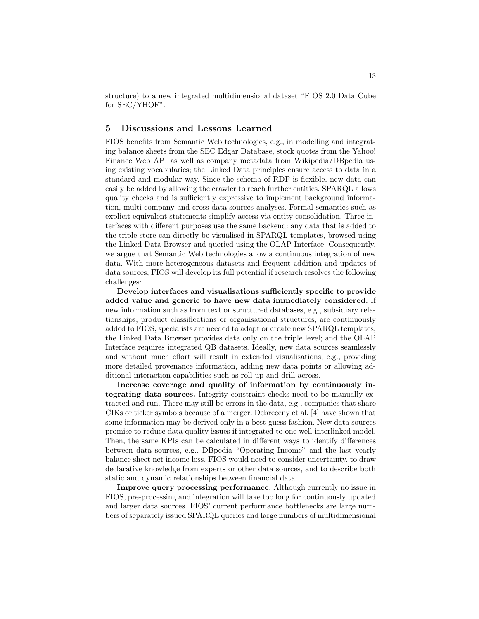structure) to a new integrated multidimensional dataset "FIOS 2.0 Data Cube for SEC/YHOF".

# 5 Discussions and Lessons Learned

FIOS benefits from Semantic Web technologies, e.g., in modelling and integrating balance sheets from the SEC Edgar Database, stock quotes from the Yahoo! Finance Web API as well as company metadata from Wikipedia/DBpedia using existing vocabularies; the Linked Data principles ensure access to data in a standard and modular way. Since the schema of RDF is flexible, new data can easily be added by allowing the crawler to reach further entities. SPARQL allows quality checks and is sufficiently expressive to implement background information, multi-company and cross-data-sources analyses. Formal semantics such as explicit equivalent statements simplify access via entity consolidation. Three interfaces with different purposes use the same backend: any data that is added to the triple store can directly be visualised in SPARQL templates, browsed using the Linked Data Browser and queried using the OLAP Interface. Consequently, we argue that Semantic Web technologies allow a continuous integration of new data. With more heterogeneous datasets and frequent addition and updates of data sources, FIOS will develop its full potential if research resolves the following challenges:

Develop interfaces and visualisations sufficiently specific to provide added value and generic to have new data immediately considered. If new information such as from text or structured databases, e.g., subsidiary relationships, product classifications or organisational structures, are continuously added to FIOS, specialists are needed to adapt or create new SPARQL templates; the Linked Data Browser provides data only on the triple level; and the OLAP Interface requires integrated QB datasets. Ideally, new data sources seamlessly and without much effort will result in extended visualisations, e.g., providing more detailed provenance information, adding new data points or allowing additional interaction capabilities such as roll-up and drill-across.

Increase coverage and quality of information by continuously integrating data sources. Integrity constraint checks need to be manually extracted and run. There may still be errors in the data, e.g., companies that share CIKs or ticker symbols because of a merger. Debreceny et al. [4] have shown that some information may be derived only in a best-guess fashion. New data sources promise to reduce data quality issues if integrated to one well-interlinked model. Then, the same KPIs can be calculated in different ways to identify differences between data sources, e.g., DBpedia "Operating Income" and the last yearly balance sheet net income loss. FIOS would need to consider uncertainty, to draw declarative knowledge from experts or other data sources, and to describe both static and dynamic relationships between financial data.

Improve query processing performance. Although currently no issue in FIOS, pre-processing and integration will take too long for continuously updated and larger data sources. FIOS' current performance bottlenecks are large numbers of separately issued SPARQL queries and large numbers of multidimensional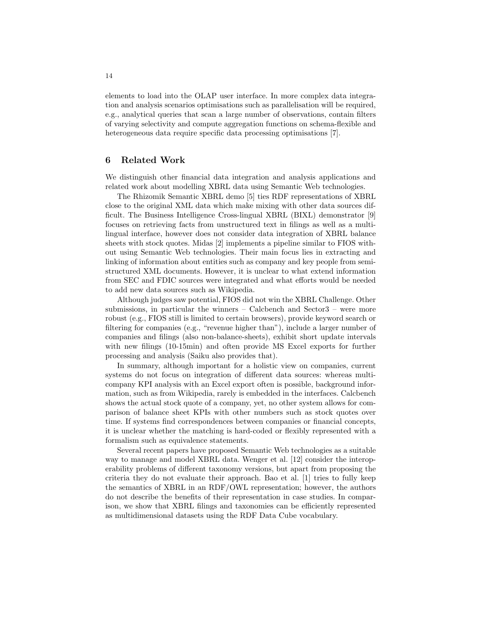elements to load into the OLAP user interface. In more complex data integration and analysis scenarios optimisations such as parallelisation will be required, e.g., analytical queries that scan a large number of observations, contain filters of varying selectivity and compute aggregation functions on schema-flexible and heterogeneous data require specific data processing optimisations [7].

# 6 Related Work

We distinguish other financial data integration and analysis applications and related work about modelling XBRL data using Semantic Web technologies.

The Rhizomik Semantic XBRL demo [5] ties RDF representations of XBRL close to the original XML data which make mixing with other data sources difficult. The Business Intelligence Cross-lingual XBRL (BIXL) demonstrator [9] focuses on retrieving facts from unstructured text in filings as well as a multilingual interface, however does not consider data integration of XBRL balance sheets with stock quotes. Midas [2] implements a pipeline similar to FIOS without using Semantic Web technologies. Their main focus lies in extracting and linking of information about entities such as company and key people from semistructured XML documents. However, it is unclear to what extend information from SEC and FDIC sources were integrated and what efforts would be needed to add new data sources such as Wikipedia.

Although judges saw potential, FIOS did not win the XBRL Challenge. Other submissions, in particular the winners – Calcbench and Sector3 – were more robust (e.g., FIOS still is limited to certain browsers), provide keyword search or filtering for companies (e.g., "revenue higher than"), include a larger number of companies and filings (also non-balance-sheets), exhibit short update intervals with new filings (10-15min) and often provide MS Excel exports for further processing and analysis (Saiku also provides that).

In summary, although important for a holistic view on companies, current systems do not focus on integration of different data sources: whereas multicompany KPI analysis with an Excel export often is possible, background information, such as from Wikipedia, rarely is embedded in the interfaces. Calcbench shows the actual stock quote of a company, yet, no other system allows for comparison of balance sheet KPIs with other numbers such as stock quotes over time. If systems find correspondences between companies or financial concepts, it is unclear whether the matching is hard-coded or flexibly represented with a formalism such as equivalence statements.

Several recent papers have proposed Semantic Web technologies as a suitable way to manage and model XBRL data. Wenger et al. [12] consider the interoperability problems of different taxonomy versions, but apart from proposing the criteria they do not evaluate their approach. Bao et al. [1] tries to fully keep the semantics of XBRL in an RDF/OWL representation; however, the authors do not describe the benefits of their representation in case studies. In comparison, we show that XBRL filings and taxonomies can be efficiently represented as multidimensional datasets using the RDF Data Cube vocabulary.